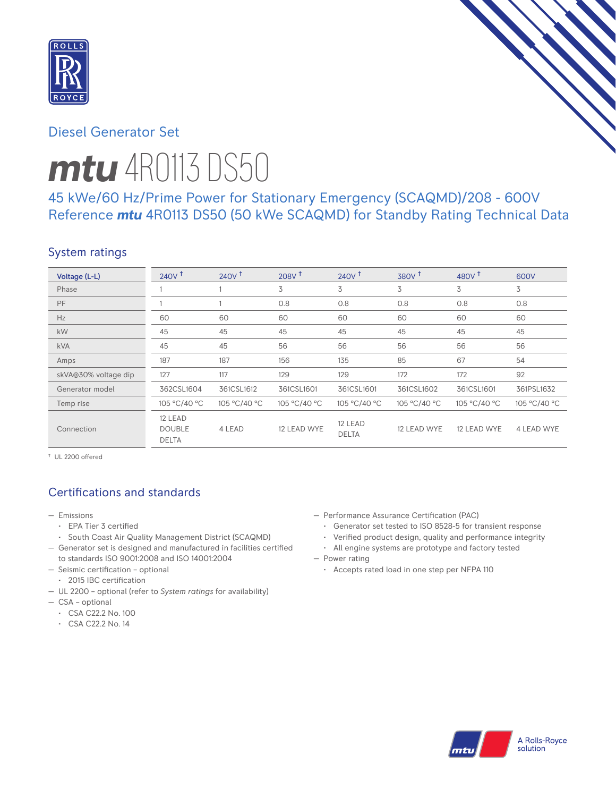

# Diesel Generator Set

# *mtu* 4R0113 DS50

# 45 kWe/60 Hz/Prime Power for Stationary Emergency (SCAQMD)/208 - 600V Reference *mtu* 4R0113 DS50 (50 kWe SCAQMD) for Standby Rating Technical Data

# System ratings

| Voltage (L-L)        | $240V$ <sup>+</sup>                      | 240V <sup>†</sup> | $208V$ <sup>+</sup> | 240V <sup>†</sup>       | 380V <sup>†</sup> | 480 $V†$     | 600V         |
|----------------------|------------------------------------------|-------------------|---------------------|-------------------------|-------------------|--------------|--------------|
| Phase                |                                          |                   | 3                   | 3                       | 3                 | 3            | 3            |
| PF                   |                                          |                   | 0.8                 | 0.8                     | 0.8               | 0.8          | 0.8          |
| Hz                   | 60                                       | 60                | 60                  | 60                      | 60                | 60           | 60           |
| kW                   | 45                                       | 45                | 45                  | 45                      | 45                | 45           | 45           |
| <b>kVA</b>           | 45                                       | 45                | 56                  | 56                      | 56                | 56           | 56           |
| Amps                 | 187                                      | 187               | 156                 | 135                     | 85                | 67           | 54           |
| skVA@30% voltage dip | 127                                      | 117               | 129                 | 129                     | 172               | 172          | 92           |
| Generator model      | 362CSL1604                               | 361CSL1612        | 361CSL1601          | 361CSL1601              | 361CSL1602        | 361CSL1601   | 361PSL1632   |
| Temp rise            | 105 °C/40 °C                             | 105 °C/40 °C      | 105 °C/40 °C        | 105 °C/40 °C            | 105 °C/40 °C      | 105 °C/40 °C | 105 °C/40 °C |
| Connection           | 12 LEAD<br><b>DOUBLE</b><br><b>DELTA</b> | 4 LEAD            | 12 LEAD WYE         | 12 LEAD<br><b>DELTA</b> | 12 LEAD WYE       | 12 LEAD WYE  | 4 LEAD WYE   |

† UL 2200 offered

# Certifications and standards

- Emissions
	- EPA Tier 3 certified
	- South Coast Air Quality Management District (SCAQMD)
- Generator set is designed and manufactured in facilities certified to standards ISO 9001:2008 and ISO 14001:2004
- Seismic certification optional
- 2015 IBC certification
- UL 2200 optional (refer to *System ratings* for availability)
- CSA optional
	- CSA C22.2 No. 100
	- CSA C22.2 No. 14
- Performance Assurance Certification (PAC)
	- Generator set tested to ISO 8528-5 for transient response
	- Verified product design, quality and performance integrity
- All engine systems are prototype and factory tested — Power rating
	- Accepts rated load in one step per NFPA 110

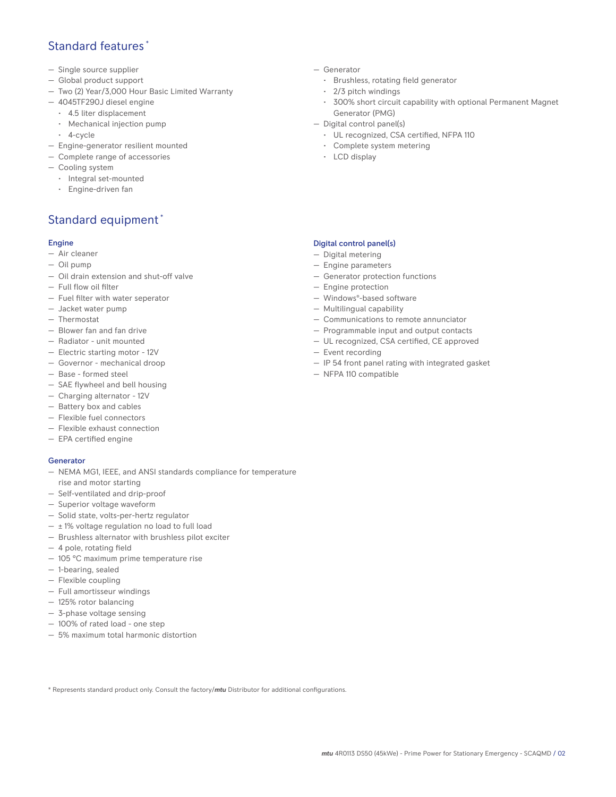# Standard features \*

- Single source supplier
- Global product support
- Two (2) Year/3,000 Hour Basic Limited Warranty
- 4045TF290J diesel engine
	- 4.5 liter displacement
	- Mechanical injection pump
	- 4-cycle
- Engine-generator resilient mounted
- Complete range of accessories
- Cooling system
- Integral set-mounted
	- Engine-driven fan

# Standard equipment \*

## Engine

- Air cleaner
- Oil pump
- Oil drain extension and shut-off valve
- Full flow oil filter
- Fuel filter with water seperator
- Jacket water pump
- Thermostat
- Blower fan and fan drive
- Radiator unit mounted
- Electric starting motor 12V
- Governor mechanical droop
- Base formed steel
- SAE flywheel and bell housing
- Charging alternator 12V
- Battery box and cables
- Flexible fuel connectors
- Flexible exhaust connection
- EPA certified engine

## **Generator**

- NEMA MG1, IEEE, and ANSI standards compliance for temperature rise and motor starting
- Self-ventilated and drip-proof
- Superior voltage waveform
- Solid state, volts-per-hertz regulator
- $\pm$  1% voltage regulation no load to full load
- Brushless alternator with brushless pilot exciter
- 4 pole, rotating field
- 105 °C maximum prime temperature rise
- 1-bearing, sealed
- Flexible coupling
- Full amortisseur windings
- 125% rotor balancing
- 3-phase voltage sensing
- 100% of rated load one step
- 5% maximum total harmonic distortion
- Generator
	- Brushless, rotating field generator
	- 2/3 pitch windings
	- 300% short circuit capability with optional Permanent Magnet Generator (PMG)
- Digital control panel(s)
	- UL recognized, CSA certified, NFPA 110
	- Complete system metering
	- LCD display

## Digital control panel(s)

- Digital metering
- Engine parameters
- Generator protection functions
- Engine protection
- Windows®-based software
- Multilingual capability
- Communications to remote annunciator
- Programmable input and output contacts
- UL recognized, CSA certified, CE approved
- Event recording
- IP 54 front panel rating with integrated gasket
- NFPA 110 compatible

\* Represents standard product only. Consult the factory/*mtu* Distributor for additional configurations.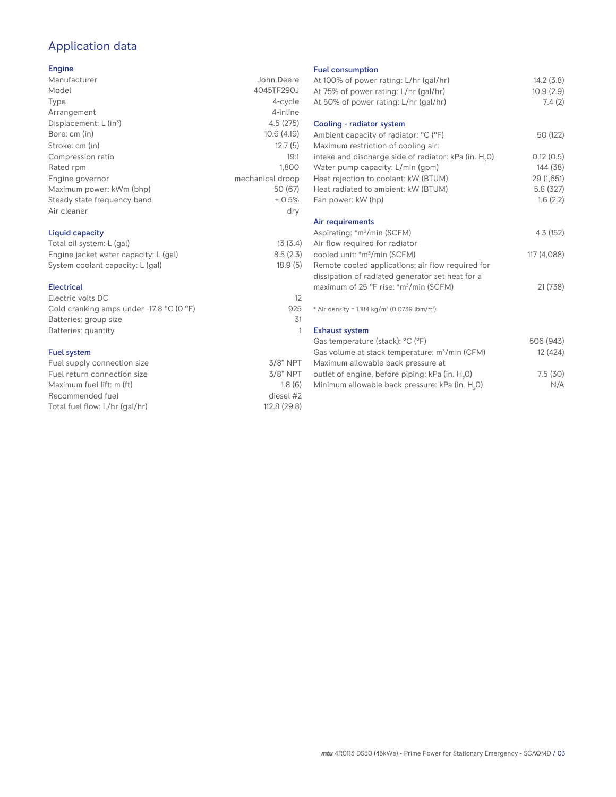# Application data

## Engine

| Manufacturer                         | John Deere       |
|--------------------------------------|------------------|
| Model                                | 4045TF290J       |
| Type                                 | 4-cycle          |
| Arrangement                          | 4-inline         |
| Displacement: $L$ (in <sup>3</sup> ) | 4.5(275)         |
| Bore: cm (in)                        | 10.6(4.19)       |
| Stroke: cm (in)                      | 12.7(5)          |
| Compression ratio                    | 19:1             |
| Rated rpm                            | 1.800            |
| Engine governor                      | mechanical droop |
| Maximum power: kWm (bhp)             | 50 (67)          |
| Steady state frequency band          | ± 0.5%           |
| Air cleaner                          | dry              |
|                                      |                  |

## Liquid capacity

| Total oil system: L (gal)             | 13(3.4)  |
|---------------------------------------|----------|
| Engine jacket water capacity: L (gal) | 8.5(2.3) |
| System coolant capacity: L (gal)      | 18.9(5)  |

### Electrical

| Electric volts DC                                            | 12  |
|--------------------------------------------------------------|-----|
| Cold cranking amps under -17.8 $^{\circ}$ C (O $^{\circ}$ F) | 925 |
| Batteries: group size                                        | .31 |
| Batteries: quantity                                          |     |
|                                                              |     |

## Fuel system

| $3/8"$ NPT   |
|--------------|
| $3/8$ " NPT  |
| 1.8(6)       |
| diesel #2    |
| 112.8 (29.8) |
|              |

#### Fuel consumption

| ו טטו טטווטטווואַנוטוו<br>At 100% of power rating: L/hr (gal/hr)<br>At 75% of power rating: L/hr (gal/hr)                                         | 14.2(3.8)<br>10.9(2.9) |
|---------------------------------------------------------------------------------------------------------------------------------------------------|------------------------|
| At 50% of power rating: L/hr (gal/hr)                                                                                                             | 7.4(2)                 |
| Cooling - radiator system<br>Ambient capacity of radiator: °C (°F)                                                                                | 50 (122)               |
| Maximum restriction of cooling air:<br>intake and discharge side of radiator: kPa (in. H <sub>2</sub> O)<br>Water pump capacity: L/min (gpm)      | 0.12(0.5)<br>144 (38)  |
| Heat rejection to coolant: kW (BTUM)                                                                                                              | 29 (1,651)             |
| Heat radiated to ambient: kW (BTUM)<br>Fan power: kW (hp)                                                                                         | 5.8 (327)<br>1.6(2.2)  |
| Air requirements                                                                                                                                  |                        |
| Aspirating: *m <sup>3</sup> /min (SCFM)<br>Air flow required for radiator                                                                         | 4.3 (152)              |
| cooled unit: *m <sup>3</sup> /min (SCFM)<br>Remote cooled applications; air flow required for<br>dissipation of radiated generator set heat for a | 117 (4,088)            |
| maximum of 25 °F rise: *m <sup>3</sup> /min (SCFM)                                                                                                | 21 (738)               |
| * Air density = $1.184 \text{ kg/m}^3$ (0.0739 lbm/ft <sup>3</sup> )                                                                              |                        |
| <b>Exhaust system</b>                                                                                                                             |                        |
| Gas temperature (stack): °C (°F)<br>Gas volume at stack temperature: m <sup>3</sup> /min (CFM)<br>Maximum allowable back pressure at              | 506 (943)<br>12 (424)  |
| outlet of engine, before piping: kPa (in. H <sub>2</sub> 0)<br>Minimum allowable back pressure: kPa (in. H <sub>2</sub> 0)                        | 7.5(30)<br>N/A         |